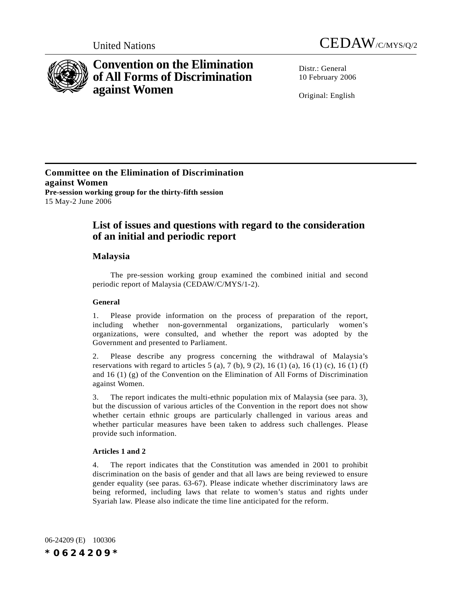



# **Convention on the Elimination of All Forms of Discrimination against Women**

Distr · General 10 February 2006

Original: English

**Committee on the Elimination of Discrimination against Women Pre-session working group for the thirty-fifth session** 15 May-2 June 2006

## **List of issues and questions with regard to the consideration of an initial and periodic report**

## **Malaysia**

The pre-session working group examined the combined initial and second periodic report of Malaysia (CEDAW/C/MYS/1-2).

## **General**

1. Please provide information on the process of preparation of the report, including whether non-governmental organizations, particularly women's organizations, were consulted, and whether the report was adopted by the Government and presented to Parliament.

2. Please describe any progress concerning the withdrawal of Malaysia's reservations with regard to articles  $5$  (a),  $7$  (b),  $9$  (2),  $16$  (1) (a),  $16$  (1) (c),  $16$  (1) (f) and 16 (1) (g) of the Convention on the Elimination of All Forms of Discrimination against Women.

3. The report indicates the multi-ethnic population mix of Malaysia (see para. 3), but the discussion of various articles of the Convention in the report does not show whether certain ethnic groups are particularly challenged in various areas and whether particular measures have been taken to address such challenges. Please provide such information.

## **Articles 1 and 2**

4. The report indicates that the Constitution was amended in 2001 to prohibit discrimination on the basis of gender and that all laws are being reviewed to ensure gender equality (see paras. 63-67). Please indicate whether discriminatory laws are being reformed, including laws that relate to women's status and rights under Syariah law. Please also indicate the time line anticipated for the reform.

06-24209 (E) 100306 *\*0624209\**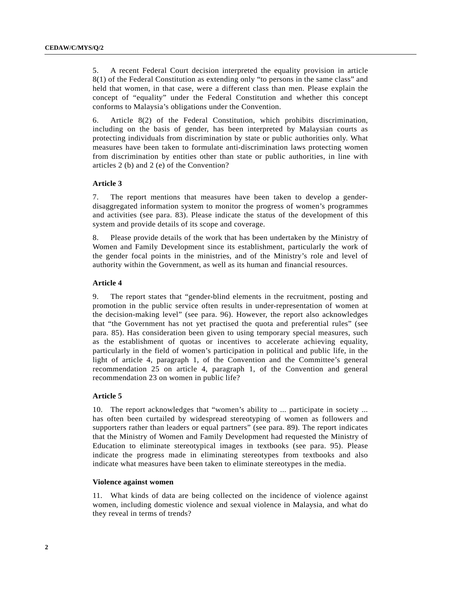5. A recent Federal Court decision interpreted the equality provision in article 8(1) of the Federal Constitution as extending only "to persons in the same class" and held that women, in that case, were a different class than men. Please explain the concept of "equality" under the Federal Constitution and whether this concept conforms to Malaysia's obligations under the Convention.

6. Article 8(2) of the Federal Constitution, which prohibits discrimination, including on the basis of gender, has been interpreted by Malaysian courts as protecting individuals from discrimination by state or public authorities only. What measures have been taken to formulate anti-discrimination laws protecting women from discrimination by entities other than state or public authorities, in line with articles 2 (b) and 2 (e) of the Convention?

#### **Article 3**

7. The report mentions that measures have been taken to develop a genderdisaggregated information system to monitor the progress of women's programmes and activities (see para. 83). Please indicate the status of the development of this system and provide details of its scope and coverage.

8. Please provide details of the work that has been undertaken by the Ministry of Women and Family Development since its establishment, particularly the work of the gender focal points in the ministries, and of the Ministry's role and level of authority within the Government, as well as its human and financial resources.

#### **Article 4**

9. The report states that "gender-blind elements in the recruitment, posting and promotion in the public service often results in under-representation of women at the decision-making level" (see para. 96). However, the report also acknowledges that "the Government has not yet practised the quota and preferential rules" (see para. 85). Has consideration been given to using temporary special measures, such as the establishment of quotas or incentives to accelerate achieving equality, particularly in the field of women's participation in political and public life, in the light of article 4, paragraph 1, of the Convention and the Committee's general recommendation 25 on article 4, paragraph 1, of the Convention and general recommendation 23 on women in public life?

#### **Article 5**

10. The report acknowledges that "women's ability to ... participate in society ... has often been curtailed by widespread stereotyping of women as followers and supporters rather than leaders or equal partners" (see para. 89). The report indicates that the Ministry of Women and Family Development had requested the Ministry of Education to eliminate stereotypical images in textbooks (see para. 95). Please indicate the progress made in eliminating stereotypes from textbooks and also indicate what measures have been taken to eliminate stereotypes in the media.

## **Violence against women**

11. What kinds of data are being collected on the incidence of violence against women, including domestic violence and sexual violence in Malaysia, and what do they reveal in terms of trends?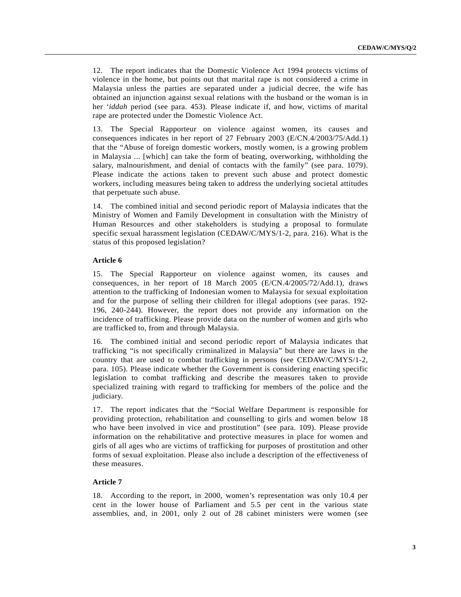12. The report indicates that the Domestic Violence Act 1994 protects victims of violence in the home, but points out that marital rape is not considered a crime in Malaysia unless the parties are separated under a judicial decree, the wife has obtained an injunction against sexual relations with the husband or the woman is in her '*iddah* period (see para. 453). Please indicate if, and how, victims of marital rape are protected under the Domestic Violence Act.

13. The Special Rapporteur on violence against women, its causes and consequences indicates in her report of 27 February 2003 (E/CN.4/2003/75/Add.1) that the "Abuse of foreign domestic workers, mostly women, is a growing problem in Malaysia ... [which] can take the form of beating, overworking, withholding the salary, malnourishment, and denial of contacts with the family" (see para. 1079). Please indicate the actions taken to prevent such abuse and protect domestic workers, including measures being taken to address the underlying societal attitudes that perpetuate such abuse.

14. The combined initial and second periodic report of Malaysia indicates that the Ministry of Women and Family Development in consultation with the Ministry of Human Resources and other stakeholders is studying a proposal to formulate specific sexual harassment legislation (CEDAW/C/MYS/1-2, para. 216). What is the status of this proposed legislation?

#### **Article 6**

15. The Special Rapporteur on violence against women, its causes and consequences, in her report of 18 March 2005 (E/CN.4/2005/72/Add.1), draws attention to the trafficking of Indonesian women to Malaysia for sexual exploitation and for the purpose of selling their children for illegal adoptions (see paras. 192- 196, 240-244). However, the report does not provide any information on the incidence of trafficking. Please provide data on the number of women and girls who are trafficked to, from and through Malaysia.

16. The combined initial and second periodic report of Malaysia indicates that trafficking "is not specifically criminalized in Malaysia" but there are laws in the country that are used to combat trafficking in persons (see CEDAW/C/MYS/1-2, para. 105). Please indicate whether the Government is considering enacting specific legislation to combat trafficking and describe the measures taken to provide specialized training with regard to trafficking for members of the police and the judiciary.

17. The report indicates that the "Social Welfare Department is responsible for providing protection, rehabilitation and counselling to girls and women below 18 who have been involved in vice and prostitution" (see para. 109). Please provide information on the rehabilitative and protective measures in place for women and girls of all ages who are victims of trafficking for purposes of prostitution and other forms of sexual exploitation. Please also include a description of the effectiveness of these measures.

#### **Article 7**

18. According to the report, in 2000, women's representation was only 10.4 per cent in the lower house of Parliament and 5.5 per cent in the various state assemblies, and, in 2001, only 2 out of 28 cabinet ministers were women (see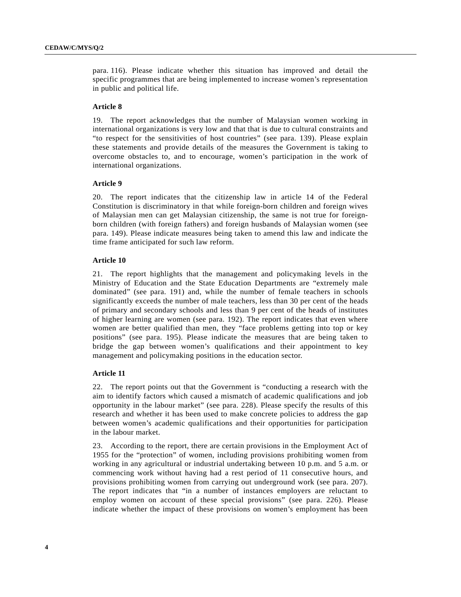para. 116). Please indicate whether this situation has improved and detail the specific programmes that are being implemented to increase women's representation in public and political life.

#### **Article 8**

19. The report acknowledges that the number of Malaysian women working in international organizations is very low and that that is due to cultural constraints and "to respect for the sensitivities of host countries" (see para. 139). Please explain these statements and provide details of the measures the Government is taking to overcome obstacles to, and to encourage, women's participation in the work of international organizations.

#### **Article 9**

20. The report indicates that the citizenship law in article 14 of the Federal Constitution is discriminatory in that while foreign-born children and foreign wives of Malaysian men can get Malaysian citizenship, the same is not true for foreignborn children (with foreign fathers) and foreign husbands of Malaysian women (see para. 149). Please indicate measures being taken to amend this law and indicate the time frame anticipated for such law reform.

#### **Article 10**

21. The report highlights that the management and policymaking levels in the Ministry of Education and the State Education Departments are "extremely male dominated" (see para. 191) and, while the number of female teachers in schools significantly exceeds the number of male teachers, less than 30 per cent of the heads of primary and secondary schools and less than 9 per cent of the heads of institutes of higher learning are women (see para. 192). The report indicates that even where women are better qualified than men, they "face problems getting into top or key positions" (see para. 195). Please indicate the measures that are being taken to bridge the gap between women's qualifications and their appointment to key management and policymaking positions in the education sector.

#### **Article 11**

22. The report points out that the Government is "conducting a research with the aim to identify factors which caused a mismatch of academic qualifications and job opportunity in the labour market" (see para. 228). Please specify the results of this research and whether it has been used to make concrete policies to address the gap between women's academic qualifications and their opportunities for participation in the labour market.

23. According to the report, there are certain provisions in the Employment Act of 1955 for the "protection" of women, including provisions prohibiting women from working in any agricultural or industrial undertaking between 10 p.m. and 5 a.m. or commencing work without having had a rest period of 11 consecutive hours, and provisions prohibiting women from carrying out underground work (see para. 207). The report indicates that "in a number of instances employers are reluctant to employ women on account of these special provisions" (see para. 226). Please indicate whether the impact of these provisions on women's employment has been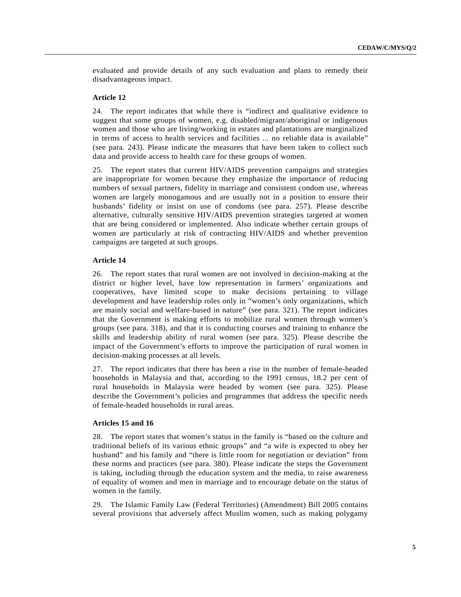evaluated and provide details of any such evaluation and plans to remedy their disadvantageous impact.

#### **Article 12**

24. The report indicates that while there is "indirect and qualitative evidence to suggest that some groups of women, e.g. disabled/migrant/aboriginal or indigenous women and those who are living/working in estates and plantations are marginalized in terms of access to health services and facilities ... no reliable data is available" (see para. 243). Please indicate the measures that have been taken to collect such data and provide access to health care for these groups of women.

25. The report states that current HIV/AIDS prevention campaigns and strategies are inappropriate for women because they emphasize the importance of reducing numbers of sexual partners, fidelity in marriage and consistent condom use, whereas women are largely monogamous and are usually not in a position to ensure their husbands' fidelity or insist on use of condoms (see para. 257). Please describe alternative, culturally sensitive HIV/AIDS prevention strategies targeted at women that are being considered or implemented. Also indicate whether certain groups of women are particularly at risk of contracting HIV/AIDS and whether prevention campaigns are targeted at such groups.

## **Article 14**

26. The report states that rural women are not involved in decision-making at the district or higher level, have low representation in farmers' organizations and cooperatives, have limited scope to make decisions pertaining to village development and have leadership roles only in "women's only organizations, which are mainly social and welfare-based in nature" (see para. 321). The report indicates that the Government is making efforts to mobilize rural women through women's groups (see para. 318), and that it is conducting courses and training to enhance the skills and leadership ability of rural women (see para. 325). Please describe the impact of the Government's efforts to improve the participation of rural women in decision-making processes at all levels.

27. The report indicates that there has been a rise in the number of female-headed households in Malaysia and that, according to the 1991 census, 18.2 per cent of rural households in Malaysia were headed by women (see para. 325). Please describe the Government's policies and programmes that address the specific needs of female-headed households in rural areas.

## **Articles 15 and 16**

28. The report states that women's status in the family is "based on the culture and traditional beliefs of its various ethnic groups" and "a wife is expected to obey her husband" and his family and "there is little room for negotiation or deviation" from these norms and practices (see para. 380). Please indicate the steps the Government is taking, including through the education system and the media, to raise awareness of equality of women and men in marriage and to encourage debate on the status of women in the family.

29. The Islamic Family Law (Federal Territories) (Amendment) Bill 2005 contains several provisions that adversely affect Muslim women, such as making polygamy